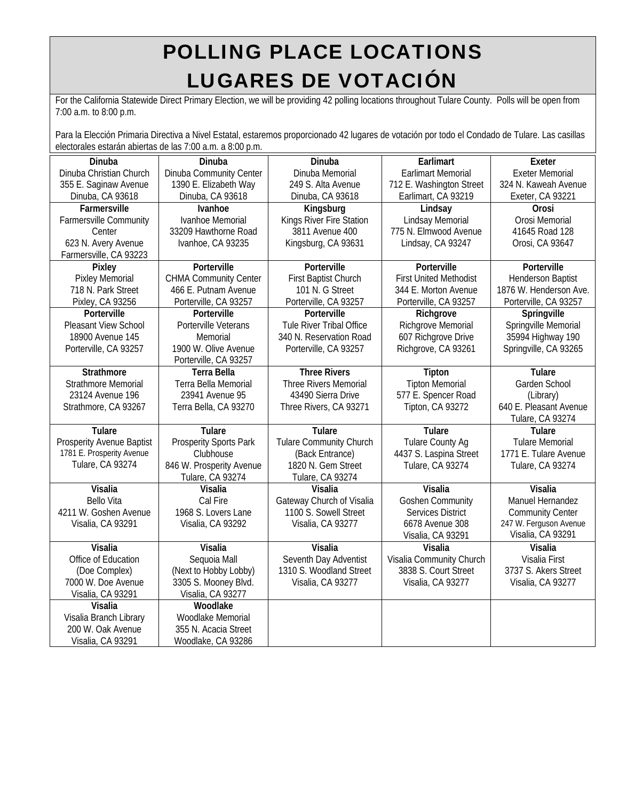## POLLING PLACE LOCATIONS LUGARES DE VOTACIÓN

For the California Statewide Direct Primary Election, we will be providing 42 polling locations throughout Tulare County. Polls will be open from 7:00 a.m. to 8:00 p.m.

Para la Elección Primaria Directiva a Nivel Estatal, estaremos proporcionado 42 lugares de votación por todo el Condado de Tulare. Las casillas electorales estarán abiertas de las 7:00 a.m. a 8:00 p.m.

| Dinuba                           | Dinuba                       | Dinuba                         | Earlimart                     | Exeter                   |
|----------------------------------|------------------------------|--------------------------------|-------------------------------|--------------------------|
| Dinuba Christian Church          | Dinuba Community Center      | Dinuba Memorial                | <b>Earlimart Memorial</b>     | <b>Exeter Memorial</b>   |
| 355 E. Saginaw Avenue            | 1390 E. Elizabeth Way        | 249 S. Alta Avenue             | 712 E. Washington Street      | 324 N. Kaweah Avenue     |
| Dinuba, CA 93618                 | Dinuba, CA 93618             | Dinuba, CA 93618               | Earlimart, CA 93219           | Exeter, CA 93221         |
| Farmersville                     | Ivanhoe                      | Kingsburg                      | Lindsay                       | Orosi                    |
| <b>Farmersville Community</b>    | Ivanhoe Memorial             | Kings River Fire Station       | Lindsay Memorial              | Orosi Memorial           |
| Center                           | 33209 Hawthorne Road         | 3811 Avenue 400                | 775 N. Elmwood Avenue         | 41645 Road 128           |
| 623 N. Avery Avenue              | Ivanhoe, CA 93235            | Kingsburg, CA 93631            | Lindsay, CA 93247             | Orosi, CA 93647          |
| Farmersville, CA 93223           |                              |                                |                               |                          |
| Pixley                           | Porterville                  | Porterville                    | Porterville                   | Porterville              |
| <b>Pixley Memorial</b>           | <b>CHMA Community Center</b> | First Baptist Church           | <b>First United Methodist</b> | <b>Henderson Baptist</b> |
| 718 N. Park Street               | 466 E. Putnam Avenue         | 101 N. G Street                | 344 E. Morton Avenue          | 1876 W. Henderson Ave.   |
| Pixley, CA 93256                 | Porterville, CA 93257        | Porterville, CA 93257          | Porterville, CA 93257         | Porterville, CA 93257    |
| Porterville                      | Porterville                  | Porterville                    | Richgrove                     | Springville              |
| Pleasant View School             | Porterville Veterans         | Tule River Tribal Office       | Richgrove Memorial            | Springville Memorial     |
| 18900 Avenue 145                 | Memorial                     | 340 N. Reservation Road        | 607 Richgrove Drive           | 35994 Highway 190        |
| Porterville, CA 93257            | 1900 W. Olive Avenue         | Porterville, CA 93257          | Richgrove, CA 93261           | Springville, CA 93265    |
|                                  | Porterville, CA 93257        |                                |                               |                          |
| Strathmore                       | <b>Terra Bella</b>           | <b>Three Rivers</b>            | Tipton                        | Tulare                   |
| <b>Strathmore Memorial</b>       | Terra Bella Memorial         | Three Rivers Memorial          | <b>Tipton Memorial</b>        | Garden School            |
| 23124 Avenue 196                 | 23941 Avenue 95              | 43490 Sierra Drive             | 577 E. Spencer Road           | (Library)                |
| Strathmore, CA 93267             | Terra Bella, CA 93270        | Three Rivers, CA 93271         | Tipton, CA 93272              | 640 E. Pleasant Avenue   |
|                                  |                              |                                |                               | Tulare, CA 93274         |
| Tulare                           | Tulare                       | <b>Tulare</b>                  | Tulare                        | Tulare                   |
| <b>Prosperity Avenue Baptist</b> | Prosperity Sports Park       | <b>Tulare Community Church</b> | <b>Tulare County Ag</b>       | <b>Tulare Memorial</b>   |
| 1781 E. Prosperity Avenue        | Clubhouse                    | (Back Entrance)                | 4437 S. Laspina Street        | 1771 E. Tulare Avenue    |
| <b>Tulare, CA 93274</b>          | 846 W. Prosperity Avenue     | 1820 N. Gem Street             | Tulare, CA 93274              | Tulare, CA 93274         |
|                                  | Tulare, CA 93274             | Tulare, CA 93274               |                               |                          |
| Visalia                          | Visalia                      | Visalia                        | Visalia                       | Visalia                  |
| <b>Bello Vita</b>                | Cal Fire                     | Gateway Church of Visalia      | <b>Goshen Community</b>       | Manuel Hernandez         |
| 4211 W. Goshen Avenue            | 1968 S. Lovers Lane          | 1100 S. Sowell Street          | <b>Services District</b>      | <b>Community Center</b>  |
| Visalia, CA 93291                | Visalia, CA 93292            | Visalia, CA 93277              | 6678 Avenue 308               | 247 W. Ferguson Avenue   |
|                                  |                              |                                | Visalia, CA 93291             | Visalia, CA 93291        |
| Visalia                          | Visalia                      | Visalia                        | Visalia                       | Visalia                  |
| Office of Education              | Sequoia Mall                 | Seventh Day Adventist          | Visalia Community Church      | Visalia First            |
| (Doe Complex)                    | (Next to Hobby Lobby)        | 1310 S. Woodland Street        | 3838 S. Court Street          | 3737 S. Akers Street     |
| 7000 W. Doe Avenue               | 3305 S. Mooney Blvd.         | Visalia, CA 93277              | Visalia, CA 93277             | Visalia, CA 93277        |
| Visalia, CA 93291                | Visalia, CA 93277            |                                |                               |                          |
| Visalia                          | Woodlake                     |                                |                               |                          |
| Visalia Branch Library           | Woodlake Memorial            |                                |                               |                          |
| 200 W. Oak Avenue                | 355 N. Acacia Street         |                                |                               |                          |
| Visalia, CA 93291                | Woodlake, CA 93286           |                                |                               |                          |